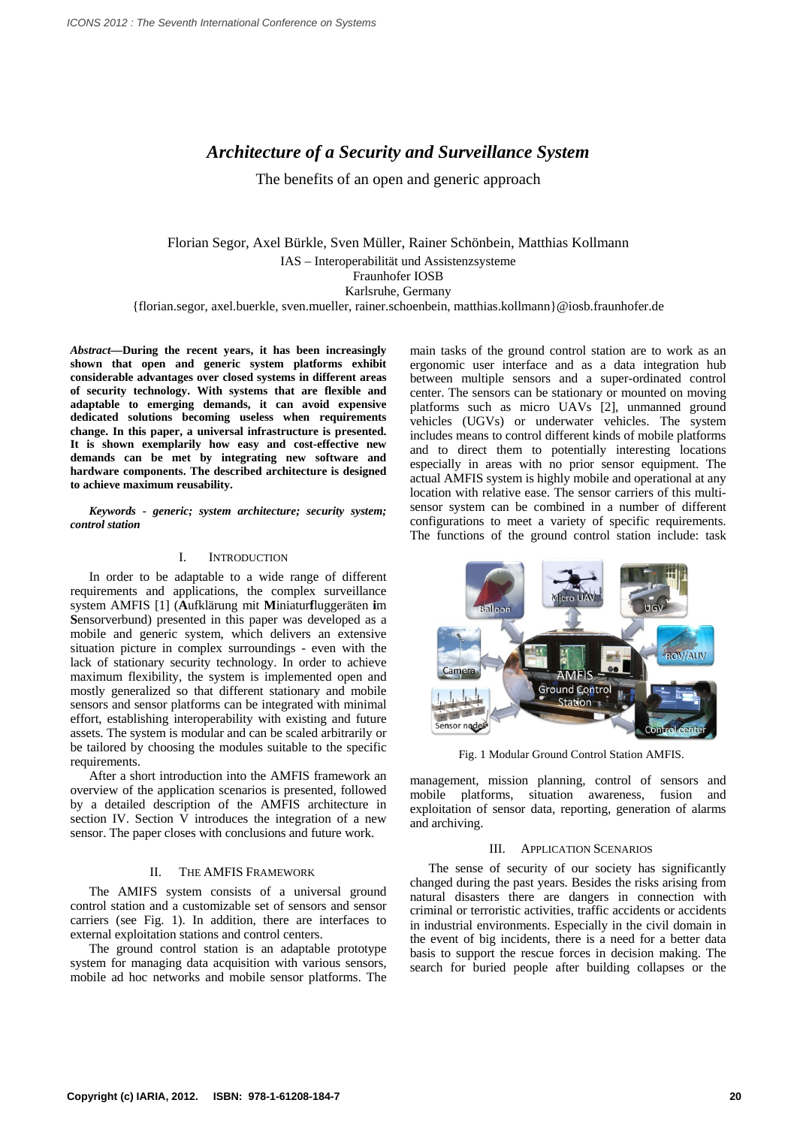# *Architecture of a Security and Surveillance System*

The benefits of an open and generic approach

Florian Segor, Axel Bürkle, Sven Müller, Rainer Schönbein, Matthias Kollmann IAS – Interoperabilität und Assistenzsysteme Fraunhofer IOSB Karlsruhe, Germany {florian.segor, axel.buerkle, sven.mueller, rainer.schoenbein, matthias.kollmann}@iosb.fraunhofer.de

*Abstract***—During the recent years, it has been increasingly shown that open and generic system platforms exhibit considerable advantages over closed systems in different areas of security technology. With systems that are flexible and adaptable to emerging demands, it can avoid expensive dedicated solutions becoming useless when requirements change. In this paper, a universal infrastructure is presented. It is shown exemplarily how easy and cost-effective new demands can be met by integrating new software and hardware components. The described architecture is designed to achieve maximum reusability.** 

*Keywords - generic; system architecture; security system; control station* 

## I. INTRODUCTION

In order to be adaptable to a wide range of different requirements and applications, the complex surveillance system AMFIS [1] (**A**ufklärung mit **M**iniatur**f**luggeräten **i**m **S**ensorverbund) presented in this paper was developed as a mobile and generic system, which delivers an extensive situation picture in complex surroundings - even with the lack of stationary security technology. In order to achieve maximum flexibility, the system is implemented open and mostly generalized so that different stationary and mobile sensors and sensor platforms can be integrated with minimal effort, establishing interoperability with existing and future assets. The system is modular and can be scaled arbitrarily or be tailored by choosing the modules suitable to the specific requirements.

After a short introduction into the AMFIS framework an overview of the application scenarios is presented, followed by a detailed description of the AMFIS architecture in section IV. Section V introduces the integration of a new sensor. The paper closes with conclusions and future work.

## II. THE AMFIS FRAMEWORK

The AMIFS system consists of a universal ground control station and a customizable set of sensors and sensor carriers (see Fig. 1). In addition, there are interfaces to external exploitation stations and control centers.

The ground control station is an adaptable prototype system for managing data acquisition with various sensors, mobile ad hoc networks and mobile sensor platforms. The main tasks of the ground control station are to work as an ergonomic user interface and as a data integration hub between multiple sensors and a super-ordinated control center. The sensors can be stationary or mounted on moving platforms such as micro UAVs [2], unmanned ground vehicles (UGVs) or underwater vehicles. The system includes means to control different kinds of mobile platforms and to direct them to potentially interesting locations especially in areas with no prior sensor equipment. The actual AMFIS system is highly mobile and operational at any location with relative ease. The sensor carriers of this multisensor system can be combined in a number of different configurations to meet a variety of specific requirements. The functions of the ground control station include: task



Fig. 1 Modular Ground Control Station AMFIS.

management, mission planning, control of sensors and mobile platforms, situation awareness, fusion and exploitation of sensor data, reporting, generation of alarms and archiving.

## III. APPLICATION SCENARIOS

The sense of security of our society has significantly changed during the past years. Besides the risks arising from natural disasters there are dangers in connection with criminal or terroristic activities, traffic accidents or accidents in industrial environments. Especially in the civil domain in the event of big incidents, there is a need for a better data basis to support the rescue forces in decision making. The search for buried people after building collapses or the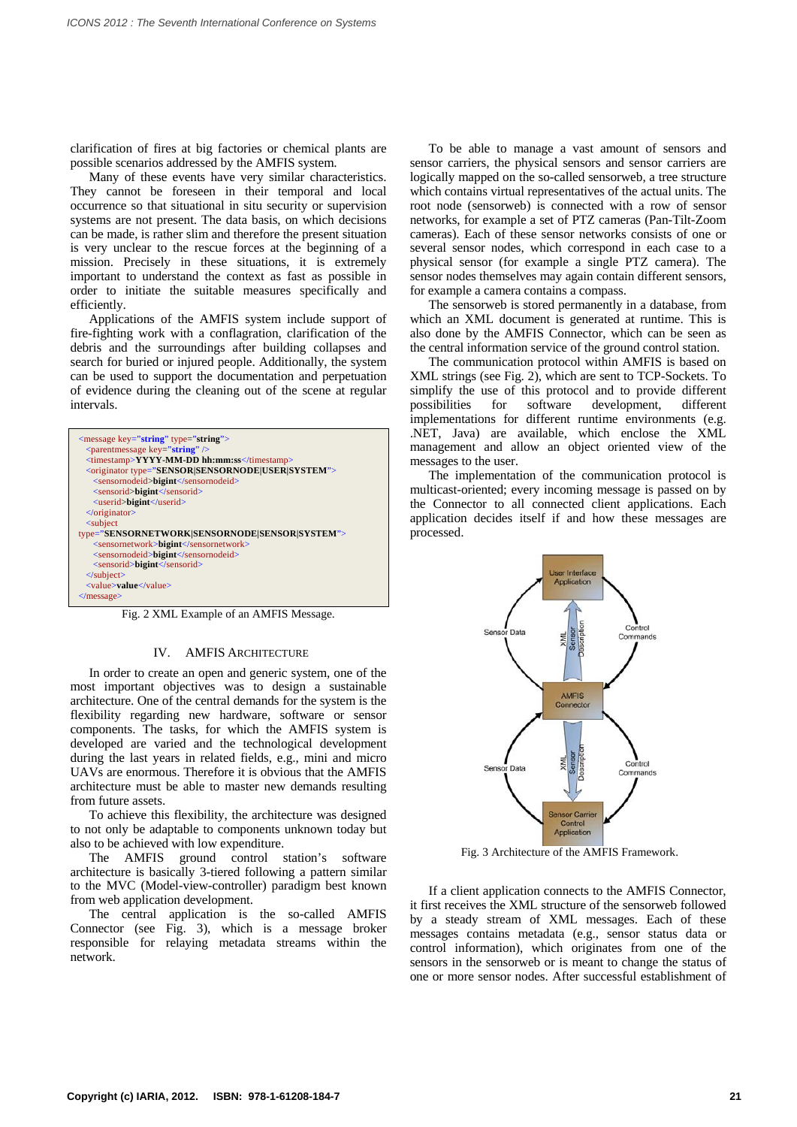clarification of fires at big factories or chemical plants are possible scenarios addressed by the AMFIS system.

Many of these events have very similar characteristics. They cannot be foreseen in their temporal and local occurrence so that situational in situ security or supervision systems are not present. The data basis, on which decisions can be made, is rather slim and therefore the present situation is very unclear to the rescue forces at the beginning of a mission. Precisely in these situations, it is extremely important to understand the context as fast as possible in order to initiate the suitable measures specifically and efficiently.

Applications of the AMFIS system include support of fire-fighting work with a conflagration, clarification of the debris and the surroundings after building collapses and search for buried or injured people. Additionally, the system can be used to support the documentation and perpetuation of evidence during the cleaning out of the scene at regular intervals.

| $\langle$ message key="string" type="string">                  |
|----------------------------------------------------------------|
| $\epsilon$ <parent key="string" message=""></parent>           |
| <timestamp>YYYY-MM-DD hh:mm:ss</timestamp>                     |
| <originator type="SENSOR SENSORNODE USER SYSTEM"></originator> |
| <sensornodeid>bigint</sensornodeid>                            |
| <sensorid>bigint</sensorid>                                    |
| <userid>bigint</userid>                                        |
| $\langle$ originator>                                          |
| $\leq$ subject                                                 |
| type="SENSORNETWORK SENSORNODE SENSOR SYSTEM">                 |
| <sensornetwork>bigint</sensornetwork>                          |
| <sensornodeid>bigint</sensornodeid>                            |
| <sensorid>bigint</sensorid>                                    |
| $\le$ /subject>                                                |
| <value>value</value>                                           |
| $<$ /message>                                                  |
|                                                                |

Fig. 2 XML Example of an AMFIS Message.

## IV. AMFIS ARCHITECTURE

In order to create an open and generic system, one of the most important objectives was to design a sustainable architecture. One of the central demands for the system is the flexibility regarding new hardware, software or sensor components. The tasks, for which the AMFIS system is developed are varied and the technological development during the last years in related fields, e.g., mini and micro UAVs are enormous. Therefore it is obvious that the AMFIS architecture must be able to master new demands resulting from future assets.

To achieve this flexibility, the architecture was designed to not only be adaptable to components unknown today but also to be achieved with low expenditure.

The AMFIS ground control station's software architecture is basically 3-tiered following a pattern similar to the MVC (Model-view-controller) paradigm best known from web application development.

The central application is the so-called AMFIS Connector (see Fig. 3), which is a message broker responsible for relaying metadata streams within the network.

To be able to manage a vast amount of sensors and sensor carriers, the physical sensors and sensor carriers are logically mapped on the so-called sensorweb, a tree structure which contains virtual representatives of the actual units. The root node (sensorweb) is connected with a row of sensor networks, for example a set of PTZ cameras (Pan-Tilt-Zoom cameras). Each of these sensor networks consists of one or several sensor nodes, which correspond in each case to a physical sensor (for example a single PTZ camera). The sensor nodes themselves may again contain different sensors, for example a camera contains a compass.

The sensorweb is stored permanently in a database, from which an XML document is generated at runtime. This is also done by the AMFIS Connector, which can be seen as the central information service of the ground control station.

The communication protocol within AMFIS is based on XML strings (see Fig. 2), which are sent to TCP-Sockets. To simplify the use of this protocol and to provide different possibilities for software development, different implementations for different runtime environments (e.g. .NET, Java) are available, which enclose the XML management and allow an object oriented view of the messages to the user.

The implementation of the communication protocol is multicast-oriented; every incoming message is passed on by the Connector to all connected client applications. Each application decides itself if and how these messages are processed.



Fig. 3 Architecture of the AMFIS Framework.

If a client application connects to the AMFIS Connector, it first receives the XML structure of the sensorweb followed by a steady stream of XML messages. Each of these messages contains metadata (e.g., sensor status data or control information), which originates from one of the sensors in the sensorweb or is meant to change the status of one or more sensor nodes. After successful establishment of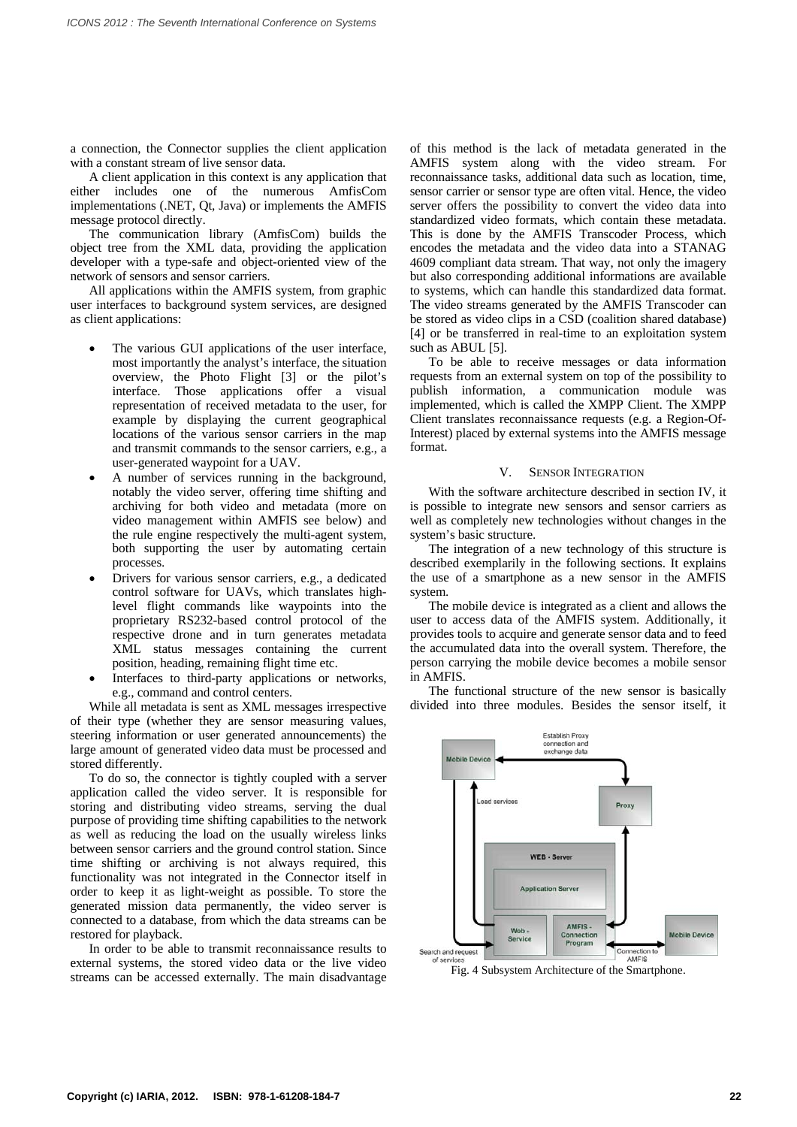a connection, the Connector supplies the client application with a constant stream of live sensor data.

A client application in this context is any application that either includes one of the numerous AmfisCom implementations (.NET, Qt, Java) or implements the AMFIS message protocol directly.

The communication library (AmfisCom) builds the object tree from the XML data, providing the application developer with a type-safe and object-oriented view of the network of sensors and sensor carriers.

All applications within the AMFIS system, from graphic user interfaces to background system services, are designed as client applications:

- The various GUI applications of the user interface, most importantly the analyst's interface, the situation overview, the Photo Flight [3] or the pilot's interface. Those applications offer a visual representation of received metadata to the user, for example by displaying the current geographical locations of the various sensor carriers in the map and transmit commands to the sensor carriers, e.g., a user-generated waypoint for a UAV.
- A number of services running in the background, notably the video server, offering time shifting and archiving for both video and metadata (more on video management within AMFIS see below) and the rule engine respectively the multi-agent system, both supporting the user by automating certain processes.
- Drivers for various sensor carriers, e.g., a dedicated control software for UAVs, which translates highlevel flight commands like waypoints into the proprietary RS232-based control protocol of the respective drone and in turn generates metadata XML status messages containing the current position, heading, remaining flight time etc.
- Interfaces to third-party applications or networks, e.g., command and control centers.

While all metadata is sent as XML messages irrespective of their type (whether they are sensor measuring values, steering information or user generated announcements) the large amount of generated video data must be processed and stored differently.

To do so, the connector is tightly coupled with a server application called the video server. It is responsible for storing and distributing video streams, serving the dual purpose of providing time shifting capabilities to the network as well as reducing the load on the usually wireless links between sensor carriers and the ground control station. Since time shifting or archiving is not always required, this functionality was not integrated in the Connector itself in order to keep it as light-weight as possible. To store the generated mission data permanently, the video server is connected to a database, from which the data streams can be restored for playback.

In order to be able to transmit reconnaissance results to external systems, the stored video data or the live video streams can be accessed externally. The main disadvantage

of this method is the lack of metadata generated in the AMFIS system along with the video stream. For reconnaissance tasks, additional data such as location, time, sensor carrier or sensor type are often vital. Hence, the video server offers the possibility to convert the video data into standardized video formats, which contain these metadata. This is done by the AMFIS Transcoder Process, which encodes the metadata and the video data into a STANAG 4609 compliant data stream. That way, not only the imagery but also corresponding additional informations are available to systems, which can handle this standardized data format. The video streams generated by the AMFIS Transcoder can be stored as video clips in a CSD (coalition shared database) [4] or be transferred in real-time to an exploitation system such as ABUL [5].

To be able to receive messages or data information requests from an external system on top of the possibility to publish information, a communication module was implemented, which is called the XMPP Client. The XMPP Client translates reconnaissance requests (e.g. a Region-Of-Interest) placed by external systems into the AMFIS message format.

#### V. SENSOR INTEGRATION

With the software architecture described in section IV, it is possible to integrate new sensors and sensor carriers as well as completely new technologies without changes in the system's basic structure.

The integration of a new technology of this structure is described exemplarily in the following sections. It explains the use of a smartphone as a new sensor in the AMFIS system.

The mobile device is integrated as a client and allows the user to access data of the AMFIS system. Additionally, it provides tools to acquire and generate sensor data and to feed the accumulated data into the overall system. Therefore, the person carrying the mobile device becomes a mobile sensor in AMFIS.

The functional structure of the new sensor is basically divided into three modules. Besides the sensor itself, it



Fig. 4 Subsystem Architecture of the Smartphone.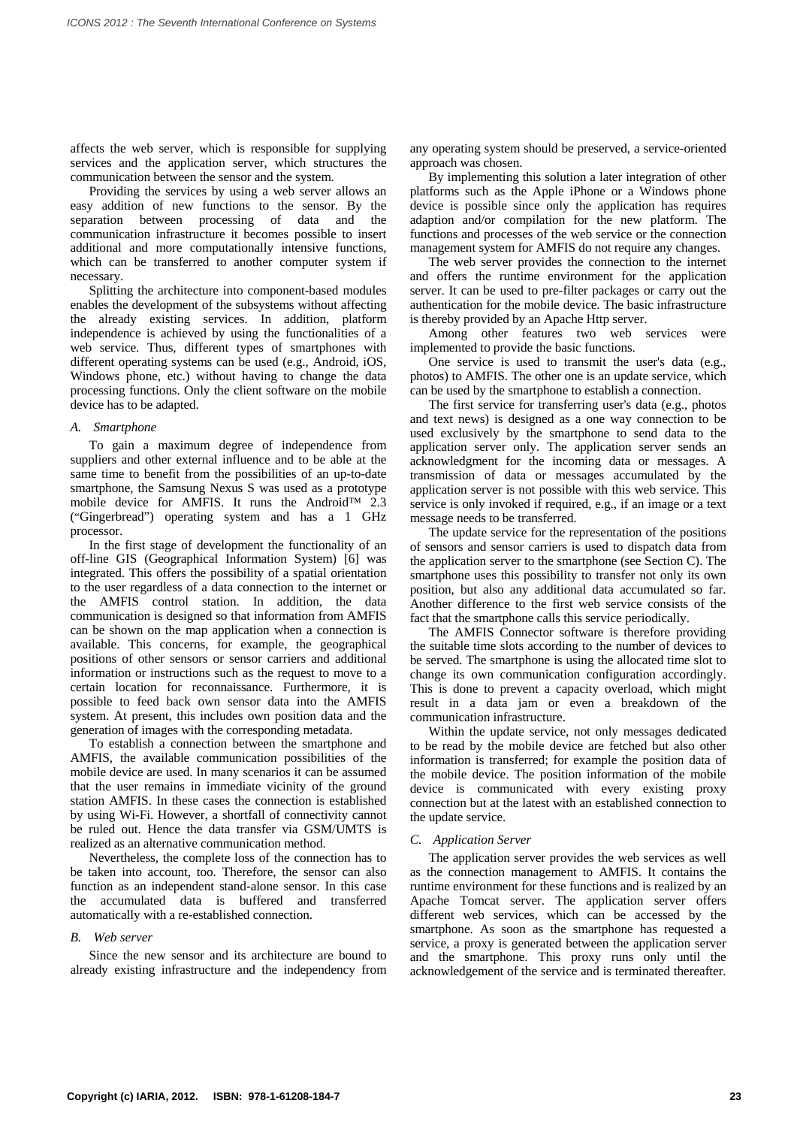affects the web server, which is responsible for supplying services and the application server, which structures the communication between the sensor and the system.

Providing the services by using a web server allows an easy addition of new functions to the sensor. By the separation between processing of data and the communication infrastructure it becomes possible to insert additional and more computationally intensive functions, which can be transferred to another computer system if necessary.

Splitting the architecture into component-based modules enables the development of the subsystems without affecting the already existing services. In addition, platform independence is achieved by using the functionalities of a web service. Thus, different types of smartphones with different operating systems can be used (e.g., Android, iOS, Windows phone, etc.) without having to change the data processing functions. Only the client software on the mobile device has to be adapted.

## *A. Smartphone*

To gain a maximum degree of independence from suppliers and other external influence and to be able at the same time to benefit from the possibilities of an up-to-date smartphone, the Samsung Nexus S was used as a prototype mobile device for AMFIS. It runs the Android™ 2.3 ("Gingerbread") operating system and has a 1 GHz processor.

In the first stage of development the functionality of an off-line GIS (Geographical Information System) [6] was integrated. This offers the possibility of a spatial orientation to the user regardless of a data connection to the internet or the AMFIS control station. In addition, the data communication is designed so that information from AMFIS can be shown on the map application when a connection is available. This concerns, for example, the geographical positions of other sensors or sensor carriers and additional information or instructions such as the request to move to a certain location for reconnaissance. Furthermore, it is possible to feed back own sensor data into the AMFIS system. At present, this includes own position data and the generation of images with the corresponding metadata.

To establish a connection between the smartphone and AMFIS, the available communication possibilities of the mobile device are used. In many scenarios it can be assumed that the user remains in immediate vicinity of the ground station AMFIS. In these cases the connection is established by using Wi-Fi. However, a shortfall of connectivity cannot be ruled out. Hence the data transfer via GSM/UMTS is realized as an alternative communication method.

Nevertheless, the complete loss of the connection has to be taken into account, too. Therefore, the sensor can also function as an independent stand-alone sensor. In this case the accumulated data is buffered and transferred automatically with a re-established connection.

#### *B. Web server*

Since the new sensor and its architecture are bound to already existing infrastructure and the independency from

any operating system should be preserved, a service-oriented approach was chosen.

By implementing this solution a later integration of other platforms such as the Apple iPhone or a Windows phone device is possible since only the application has requires adaption and/or compilation for the new platform. The functions and processes of the web service or the connection management system for AMFIS do not require any changes.

The web server provides the connection to the internet and offers the runtime environment for the application server. It can be used to pre-filter packages or carry out the authentication for the mobile device. The basic infrastructure is thereby provided by an Apache Http server.

Among other features two web services were implemented to provide the basic functions.

One service is used to transmit the user's data (e.g., photos) to AMFIS. The other one is an update service, which can be used by the smartphone to establish a connection.

The first service for transferring user's data (e.g., photos and text news) is designed as a one way connection to be used exclusively by the smartphone to send data to the application server only. The application server sends an acknowledgment for the incoming data or messages. A transmission of data or messages accumulated by the application server is not possible with this web service. This service is only invoked if required, e.g., if an image or a text message needs to be transferred.

The update service for the representation of the positions of sensors and sensor carriers is used to dispatch data from the application server to the smartphone (see Section C). The smartphone uses this possibility to transfer not only its own position, but also any additional data accumulated so far. Another difference to the first web service consists of the fact that the smartphone calls this service periodically.

The AMFIS Connector software is therefore providing the suitable time slots according to the number of devices to be served. The smartphone is using the allocated time slot to change its own communication configuration accordingly. This is done to prevent a capacity overload, which might result in a data jam or even a breakdown of the communication infrastructure.

Within the update service, not only messages dedicated to be read by the mobile device are fetched but also other information is transferred; for example the position data of the mobile device. The position information of the mobile device is communicated with every existing proxy connection but at the latest with an established connection to the update service.

## *C. Application Server*

The application server provides the web services as well as the connection management to AMFIS. It contains the runtime environment for these functions and is realized by an Apache Tomcat server. The application server offers different web services, which can be accessed by the smartphone. As soon as the smartphone has requested a service, a proxy is generated between the application server and the smartphone. This proxy runs only until the acknowledgement of the service and is terminated thereafter.